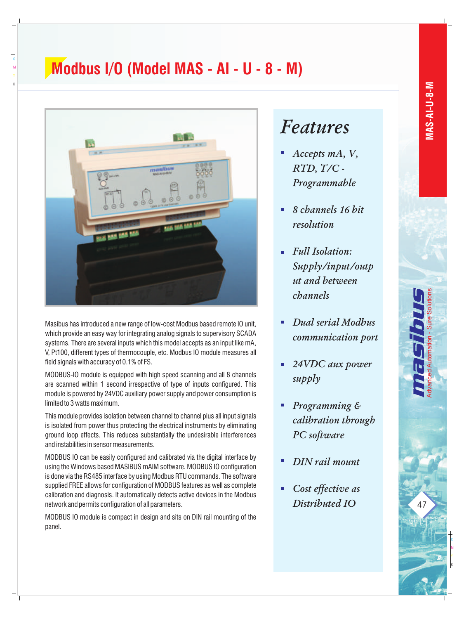## **Modbus I/O (Model MAS - AI - U - 8 - M)**



K

M

Masibus has introduced a new range of low-cost Modbus based remote IO unit, which provide an easy way for integrating analog signals to supervisory SCADA systems. There are several inputs which this model accepts as an input like mA, V, Pt100, different types of thermocouple, etc. Modbus IO module measures all field signals with accuracy of 0.1% of FS.

MODBUS-IO module is equipped with high speed scanning and all 8 channels are scanned within 1 second irrespective of type of inputs configured. This module is powered by 24VDC auxiliary power supply and power consumption is limited to 3 watts maximum.

This module provides isolation between channel to channel plus all input signals is isolated from power thus protecting the electrical instruments by eliminating ground loop effects. This reduces substantially the undesirable interferences and instabilities in sensor measurements.

MODBUS IO can be easily configured and calibrated via the digital interface by using the Windows based MASIBUS mAIM software. MODBUS IO configuration is done via the RS485 interface by using Modbus RTU commands. The software supplied FREE allows for configuration of MODBUS features as well as complete calibration and diagnosis. It automatically detects active devices in the Modbus network and permits configuration of all parameters.

MODBUS IO module is compact in design and sits on DIN rail mounting of the panel.

## *Features*

- *Accepts mA, V,*   $\Box$ *RTD, T/C - Programmable*
- *8 channels 16 bit*   $\blacksquare$ *resolution*
- *Full Isolation: Supply/input/outp ut and between channels*
- *Dual serial Modbus*   $\blacksquare$ *communication port*
- *24VDC aux power*  ú. *supply*
- *Programming &*  ú, *calibration through PC software*
- *DIN rail mount*
- *Cost effective as*   $\blacksquare$ *Distributed IO*

47

K

M

Advanced Automation - Sure Solutions